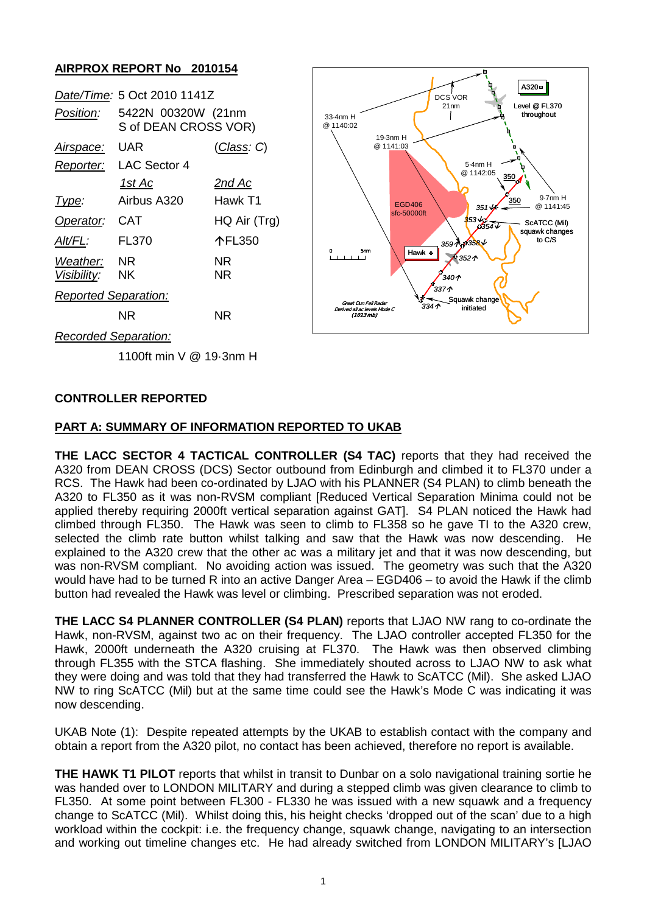# **AIRPROX REPORT No 2010154**

| <b>UAR</b><br><u>Airspace:</u> | <u>(Class</u> : C)                                                        |
|--------------------------------|---------------------------------------------------------------------------|
| LAC Sector 4                   |                                                                           |
| <u> 1st Ac</u>                 | <u>2nd Ac</u>                                                             |
| Airbus A320                    | Hawk T1                                                                   |
| <b>CAT</b>                     | HQ Air (Trg)                                                              |
| <b>FL370</b>                   | 个FL350                                                                    |
| Weather: NR                    | NR                                                                        |
| Visibility: NK                 | ΝR                                                                        |
| <b>Reported Separation:</b>    |                                                                           |
| NR                             | NR                                                                        |
|                                | Date/Time: 5 Oct 2010 1141Z<br>5422N 00320W (21nm<br>S of DEAN CROSS VOR) |



*Recorded Separation:*

1100ft min V @ 19·3nm H

### **CONTROLLER REPORTED**

### **PART A: SUMMARY OF INFORMATION REPORTED TO UKAB**

**THE LACC SECTOR 4 TACTICAL CONTROLLER (S4 TAC)** reports that they had received the A320 from DEAN CROSS (DCS) Sector outbound from Edinburgh and climbed it to FL370 under a RCS. The Hawk had been co-ordinated by LJAO with his PLANNER (S4 PLAN) to climb beneath the A320 to FL350 as it was non-RVSM compliant [Reduced Vertical Separation Minima could not be applied thereby requiring 2000ft vertical separation against GAT]. S4 PLAN noticed the Hawk had climbed through FL350. The Hawk was seen to climb to FL358 so he gave TI to the A320 crew, selected the climb rate button whilst talking and saw that the Hawk was now descending. He explained to the A320 crew that the other ac was a military jet and that it was now descending, but was non-RVSM compliant. No avoiding action was issued. The geometry was such that the A320 would have had to be turned R into an active Danger Area – EGD406 – to avoid the Hawk if the climb button had revealed the Hawk was level or climbing. Prescribed separation was not eroded.

**THE LACC S4 PLANNER CONTROLLER (S4 PLAN)** reports that LJAO NW rang to co-ordinate the Hawk, non-RVSM, against two ac on their frequency. The LJAO controller accepted FL350 for the Hawk, 2000ft underneath the A320 cruising at FL370. The Hawk was then observed climbing through FL355 with the STCA flashing. She immediately shouted across to LJAO NW to ask what they were doing and was told that they had transferred the Hawk to ScATCC (Mil). She asked LJAO NW to ring ScATCC (Mil) but at the same time could see the Hawk's Mode C was indicating it was now descending.

UKAB Note (1): Despite repeated attempts by the UKAB to establish contact with the company and obtain a report from the A320 pilot, no contact has been achieved, therefore no report is available.

**THE HAWK T1 PILOT** reports that whilst in transit to Dunbar on a solo navigational training sortie he was handed over to LONDON MILITARY and during a stepped climb was given clearance to climb to FL350. At some point between FL300 - FL330 he was issued with a new squawk and a frequency change to ScATCC (Mil). Whilst doing this, his height checks 'dropped out of the scan' due to a high workload within the cockpit: i.e. the frequency change, squawk change, navigating to an intersection and working out timeline changes etc. He had already switched from LONDON MILITARY's [LJAO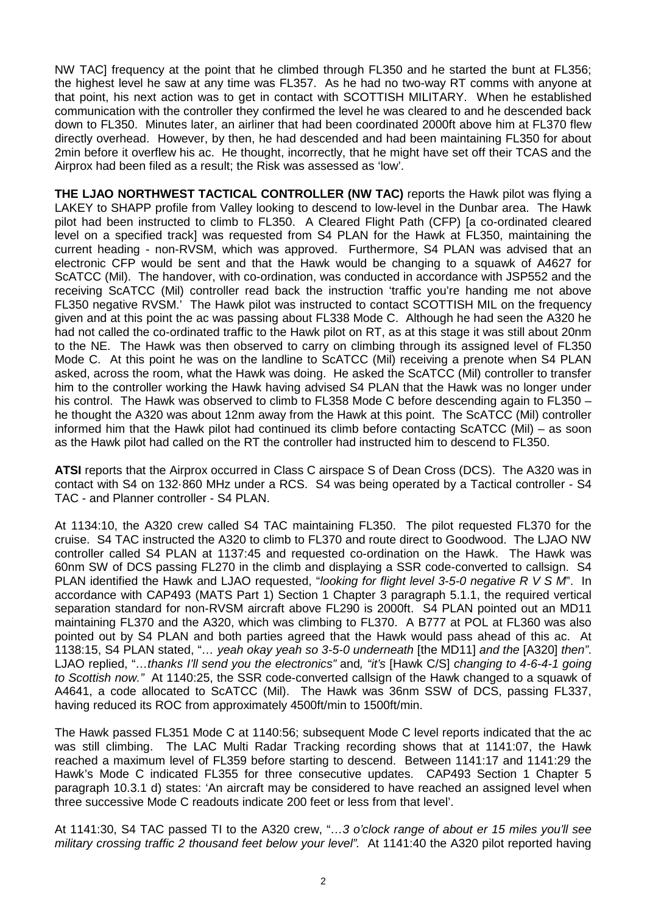NW TAC] frequency at the point that he climbed through FL350 and he started the bunt at FL356; the highest level he saw at any time was FL357. As he had no two-way RT comms with anyone at that point, his next action was to get in contact with SCOTTISH MILITARY. When he established communication with the controller they confirmed the level he was cleared to and he descended back down to FL350. Minutes later, an airliner that had been coordinated 2000ft above him at FL370 flew directly overhead. However, by then, he had descended and had been maintaining FL350 for about 2min before it overflew his ac. He thought, incorrectly, that he might have set off their TCAS and the Airprox had been filed as a result; the Risk was assessed as 'low'.

**THE LJAO NORTHWEST TACTICAL CONTROLLER (NW TAC)** reports the Hawk pilot was flying a LAKEY to SHAPP profile from Valley looking to descend to low-level in the Dunbar area. The Hawk pilot had been instructed to climb to FL350. A Cleared Flight Path (CFP) [a co-ordinated cleared level on a specified track] was requested from S4 PLAN for the Hawk at FL350, maintaining the current heading - non-RVSM, which was approved. Furthermore, S4 PLAN was advised that an electronic CFP would be sent and that the Hawk would be changing to a squawk of A4627 for ScATCC (Mil). The handover, with co-ordination, was conducted in accordance with JSP552 and the receiving ScATCC (Mil) controller read back the instruction 'traffic you're handing me not above FL350 negative RVSM.' The Hawk pilot was instructed to contact SCOTTISH MIL on the frequency given and at this point the ac was passing about FL338 Mode C. Although he had seen the A320 he had not called the co-ordinated traffic to the Hawk pilot on RT, as at this stage it was still about 20nm to the NE. The Hawk was then observed to carry on climbing through its assigned level of FL350 Mode C. At this point he was on the landline to ScATCC (Mil) receiving a prenote when S4 PLAN asked, across the room, what the Hawk was doing. He asked the ScATCC (Mil) controller to transfer him to the controller working the Hawk having advised S4 PLAN that the Hawk was no longer under his control. The Hawk was observed to climb to FL358 Mode C before descending again to FL350 – he thought the A320 was about 12nm away from the Hawk at this point. The ScATCC (Mil) controller informed him that the Hawk pilot had continued its climb before contacting ScATCC (Mil) – as soon as the Hawk pilot had called on the RT the controller had instructed him to descend to FL350.

**ATSI** reports that the Airprox occurred in Class C airspace S of Dean Cross (DCS). The A320 was in contact with S4 on 132·860 MHz under a RCS. S4 was being operated by a Tactical controller - S4 TAC - and Planner controller - S4 PLAN.

At 1134:10, the A320 crew called S4 TAC maintaining FL350. The pilot requested FL370 for the cruise. S4 TAC instructed the A320 to climb to FL370 and route direct to Goodwood. The LJAO NW controller called S4 PLAN at 1137:45 and requested co-ordination on the Hawk. The Hawk was 60nm SW of DCS passing FL270 in the climb and displaying a SSR code-converted to callsign. S4 PLAN identified the Hawk and LJAO requested, "*looking for flight level 3-5-0 negative R V S M*". In accordance with CAP493 (MATS Part 1) Section 1 Chapter 3 paragraph 5.1.1, the required vertical separation standard for non-RVSM aircraft above FL290 is 2000ft. S4 PLAN pointed out an MD11 maintaining FL370 and the A320, which was climbing to FL370. A B777 at POL at FL360 was also pointed out by S4 PLAN and both parties agreed that the Hawk would pass ahead of this ac. At 1138:15, S4 PLAN stated, "*… yeah okay yeah so 3-5-0 underneath* [the MD11] *and the* [A320] *then"*. LJAO replied, "*…thanks I'll send you the electronics"* and*, "it's* [Hawk C/S] *changing to 4-6-4-1 going to Scottish now."* At 1140:25, the SSR code-converted callsign of the Hawk changed to a squawk of A4641, a code allocated to ScATCC (Mil). The Hawk was 36nm SSW of DCS, passing FL337, having reduced its ROC from approximately 4500ft/min to 1500ft/min.

The Hawk passed FL351 Mode C at 1140:56; subsequent Mode C level reports indicated that the ac was still climbing. The LAC Multi Radar Tracking recording shows that at 1141:07, the Hawk reached a maximum level of FL359 before starting to descend. Between 1141:17 and 1141:29 the Hawk's Mode C indicated FL355 for three consecutive updates. CAP493 Section 1 Chapter 5 paragraph 10.3.1 d) states: 'An aircraft may be considered to have reached an assigned level when three successive Mode C readouts indicate 200 feet or less from that level'.

At 1141:30, S4 TAC passed TI to the A320 crew, "*…3 o'clock range of about er 15 miles you'll see military crossing traffic 2 thousand feet below your level".* At 1141:40 the A320 pilot reported having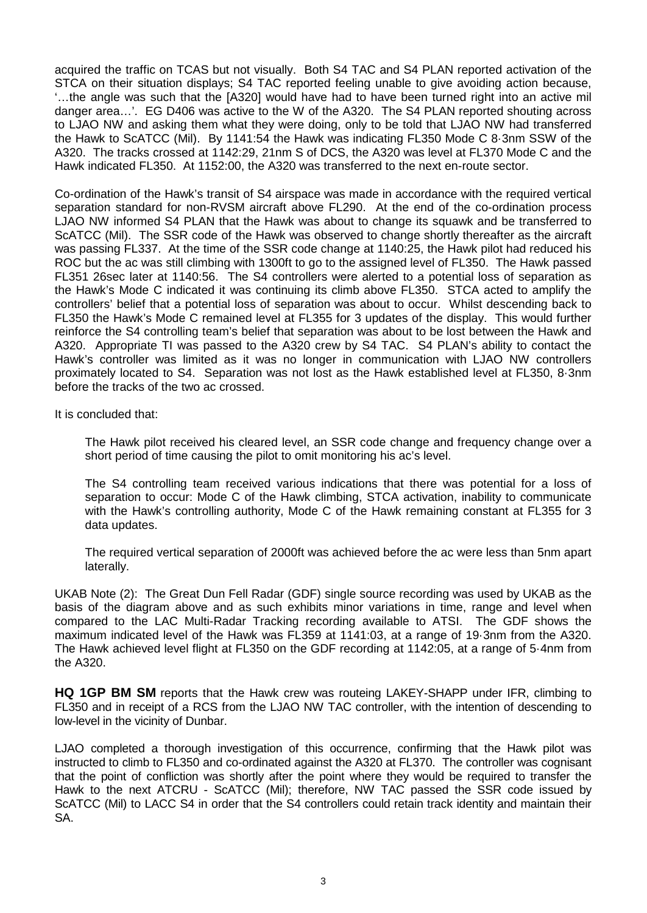acquired the traffic on TCAS but not visually. Both S4 TAC and S4 PLAN reported activation of the STCA on their situation displays; S4 TAC reported feeling unable to give avoiding action because, '…the angle was such that the [A320] would have had to have been turned right into an active mil danger area…'. EG D406 was active to the W of the A320. The S4 PLAN reported shouting across to LJAO NW and asking them what they were doing, only to be told that LJAO NW had transferred the Hawk to ScATCC (Mil). By 1141:54 the Hawk was indicating FL350 Mode C 8·3nm SSW of the A320. The tracks crossed at 1142:29, 21nm S of DCS, the A320 was level at FL370 Mode C and the Hawk indicated FL350. At 1152:00, the A320 was transferred to the next en-route sector.

Co-ordination of the Hawk's transit of S4 airspace was made in accordance with the required vertical separation standard for non-RVSM aircraft above FL290. At the end of the co-ordination process LJAO NW informed S4 PLAN that the Hawk was about to change its squawk and be transferred to ScATCC (Mil). The SSR code of the Hawk was observed to change shortly thereafter as the aircraft was passing FL337. At the time of the SSR code change at 1140:25, the Hawk pilot had reduced his ROC but the ac was still climbing with 1300ft to go to the assigned level of FL350. The Hawk passed FL351 26sec later at 1140:56. The S4 controllers were alerted to a potential loss of separation as the Hawk's Mode C indicated it was continuing its climb above FL350. STCA acted to amplify the controllers' belief that a potential loss of separation was about to occur. Whilst descending back to FL350 the Hawk's Mode C remained level at FL355 for 3 updates of the display. This would further reinforce the S4 controlling team's belief that separation was about to be lost between the Hawk and A320. Appropriate TI was passed to the A320 crew by S4 TAC. S4 PLAN's ability to contact the Hawk's controller was limited as it was no longer in communication with LJAO NW controllers proximately located to S4. Separation was not lost as the Hawk established level at FL350, 8·3nm before the tracks of the two ac crossed.

It is concluded that:

The Hawk pilot received his cleared level, an SSR code change and frequency change over a short period of time causing the pilot to omit monitoring his ac's level.

The S4 controlling team received various indications that there was potential for a loss of separation to occur: Mode C of the Hawk climbing, STCA activation, inability to communicate with the Hawk's controlling authority, Mode C of the Hawk remaining constant at FL355 for 3 data updates.

The required vertical separation of 2000ft was achieved before the ac were less than 5nm apart laterally.

UKAB Note (2): The Great Dun Fell Radar (GDF) single source recording was used by UKAB as the basis of the diagram above and as such exhibits minor variations in time, range and level when compared to the LAC Multi-Radar Tracking recording available to ATSI. The GDF shows the maximum indicated level of the Hawk was FL359 at 1141:03, at a range of 19·3nm from the A320. The Hawk achieved level flight at FL350 on the GDF recording at 1142:05, at a range of 5·4nm from the A320.

**HQ 1GP BM SM** reports that the Hawk crew was routeing LAKEY-SHAPP under IFR, climbing to FL350 and in receipt of a RCS from the LJAO NW TAC controller, with the intention of descending to low-level in the vicinity of Dunbar.

LJAO completed a thorough investigation of this occurrence, confirming that the Hawk pilot was instructed to climb to FL350 and co-ordinated against the A320 at FL370. The controller was cognisant that the point of confliction was shortly after the point where they would be required to transfer the Hawk to the next ATCRU - ScATCC (Mil); therefore, NW TAC passed the SSR code issued by ScATCC (Mil) to LACC S4 in order that the S4 controllers could retain track identity and maintain their SA.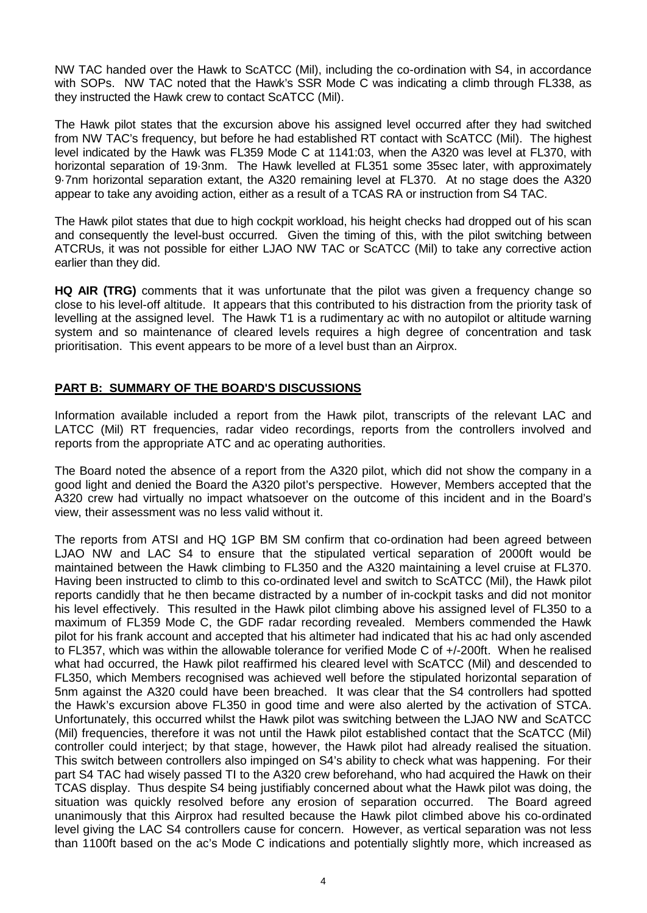NW TAC handed over the Hawk to ScATCC (Mil), including the co-ordination with S4, in accordance with SOPs. NW TAC noted that the Hawk's SSR Mode C was indicating a climb through FL338, as they instructed the Hawk crew to contact ScATCC (Mil).

The Hawk pilot states that the excursion above his assigned level occurred after they had switched from NW TAC's frequency, but before he had established RT contact with ScATCC (Mil). The highest level indicated by the Hawk was FL359 Mode C at 1141:03, when the A320 was level at FL370, with horizontal separation of 19·3nm. The Hawk levelled at FL351 some 35sec later, with approximately 9·7nm horizontal separation extant, the A320 remaining level at FL370. At no stage does the A320 appear to take any avoiding action, either as a result of a TCAS RA or instruction from S4 TAC.

The Hawk pilot states that due to high cockpit workload, his height checks had dropped out of his scan and consequently the level-bust occurred. Given the timing of this, with the pilot switching between ATCRUs, it was not possible for either LJAO NW TAC or ScATCC (Mil) to take any corrective action earlier than they did.

**HQ AIR (TRG)** comments that it was unfortunate that the pilot was given a frequency change so close to his level-off altitude. It appears that this contributed to his distraction from the priority task of levelling at the assigned level. The Hawk T1 is a rudimentary ac with no autopilot or altitude warning system and so maintenance of cleared levels requires a high degree of concentration and task prioritisation. This event appears to be more of a level bust than an Airprox.

# **PART B: SUMMARY OF THE BOARD'S DISCUSSIONS**

Information available included a report from the Hawk pilot, transcripts of the relevant LAC and LATCC (Mil) RT frequencies, radar video recordings, reports from the controllers involved and reports from the appropriate ATC and ac operating authorities.

The Board noted the absence of a report from the A320 pilot, which did not show the company in a good light and denied the Board the A320 pilot's perspective. However, Members accepted that the A320 crew had virtually no impact whatsoever on the outcome of this incident and in the Board's view, their assessment was no less valid without it.

The reports from ATSI and HQ 1GP BM SM confirm that co-ordination had been agreed between LJAO NW and LAC S4 to ensure that the stipulated vertical separation of 2000ft would be maintained between the Hawk climbing to FL350 and the A320 maintaining a level cruise at FL370. Having been instructed to climb to this co-ordinated level and switch to ScATCC (Mil), the Hawk pilot reports candidly that he then became distracted by a number of in-cockpit tasks and did not monitor his level effectively. This resulted in the Hawk pilot climbing above his assigned level of FL350 to a maximum of FL359 Mode C, the GDF radar recording revealed. Members commended the Hawk pilot for his frank account and accepted that his altimeter had indicated that his ac had only ascended to FL357, which was within the allowable tolerance for verified Mode C of +/-200ft. When he realised what had occurred, the Hawk pilot reaffirmed his cleared level with ScATCC (Mil) and descended to FL350, which Members recognised was achieved well before the stipulated horizontal separation of 5nm against the A320 could have been breached. It was clear that the S4 controllers had spotted the Hawk's excursion above FL350 in good time and were also alerted by the activation of STCA. Unfortunately, this occurred whilst the Hawk pilot was switching between the LJAO NW and ScATCC (Mil) frequencies, therefore it was not until the Hawk pilot established contact that the ScATCC (Mil) controller could interject; by that stage, however, the Hawk pilot had already realised the situation. This switch between controllers also impinged on S4's ability to check what was happening. For their part S4 TAC had wisely passed TI to the A320 crew beforehand, who had acquired the Hawk on their TCAS display. Thus despite S4 being justifiably concerned about what the Hawk pilot was doing, the situation was quickly resolved before any erosion of separation occurred. The Board agreed unanimously that this Airprox had resulted because the Hawk pilot climbed above his co-ordinated level giving the LAC S4 controllers cause for concern. However, as vertical separation was not less than 1100ft based on the ac's Mode C indications and potentially slightly more, which increased as